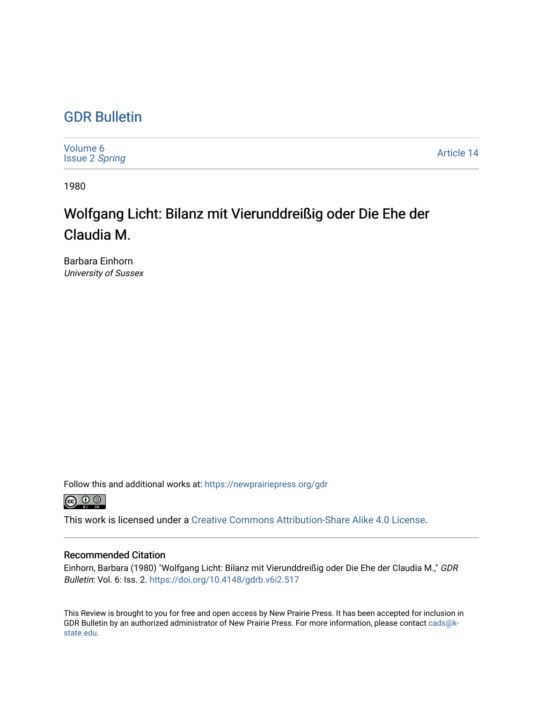## [GDR Bulletin](https://newprairiepress.org/gdr)

| Volume 6<br><b>Issue 2 Spring</b> | Article 14 |
|-----------------------------------|------------|
|-----------------------------------|------------|

1980

## Wolfgang Licht: Bilanz mit Vierunddreißig oder Die Ehe der Claudia M.

Barbara Einhorn University of Sussex

Follow this and additional works at: [https://newprairiepress.org/gdr](https://newprairiepress.org/gdr?utm_source=newprairiepress.org%2Fgdr%2Fvol6%2Fiss2%2F14&utm_medium=PDF&utm_campaign=PDFCoverPages) 



This work is licensed under a [Creative Commons Attribution-Share Alike 4.0 License.](https://creativecommons.org/licenses/by-sa/4.0/)

## Recommended Citation

Einhorn, Barbara (1980) "Wolfgang Licht: Bilanz mit Vierunddreißig oder Die Ehe der Claudia M.," GDR Bulletin: Vol. 6: Iss. 2. <https://doi.org/10.4148/gdrb.v6i2.517>

This Review is brought to you for free and open access by New Prairie Press. It has been accepted for inclusion in GDR Bulletin by an authorized administrator of New Prairie Press. For more information, please contact [cads@k](mailto:cads@k-state.edu)[state.edu](mailto:cads@k-state.edu).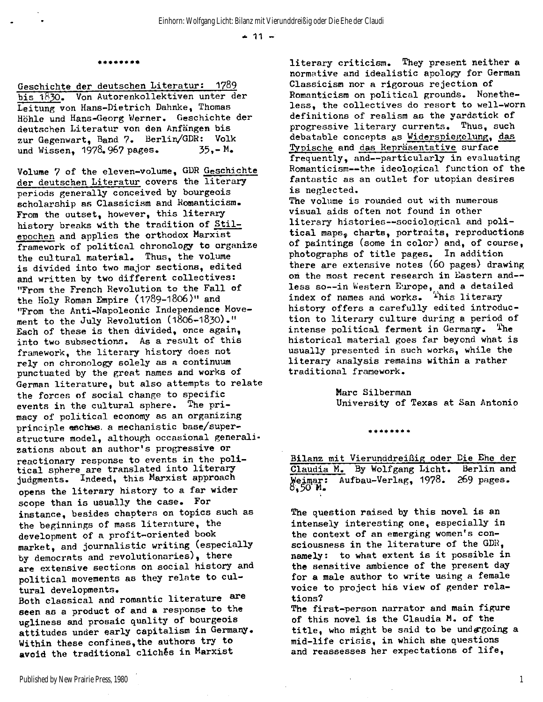$+ 11 -$ 

## **\*\*\*\*\*\* \*\***

**Geschichte der deutschen Literatur:** 1789 bis 1830. Von Autorenkollektiven unter der **Leitung von Hans-Dietrich Dahnke, Thomas Höhle und Hans-Georg Werner. Geschichte der deutschen Literatur von den Anfängen bis zur Gegenwart, Band** 7. **Berlin/GDR: Volk und Wissen,** 1978.967 **pages.** 35,-**M.** 

**Volume** 7 **of the eleven-volume, GDR Geschichte**  der deutschen Literatur covers the literary **periods generally conceived by bourgeois scholarship as Classicism and Romanticism.**  From the outset, however, this literary history breaks with the tradition of Stil**epochen and applies the orthodox Marxist**  framework of political chronology to organize **the cultural material. Thus, the volume <sup>i</sup> s divided into two major sections, edited**  and written by two different collectives: **"From the French Revolution to the Fall of the Holy Roman Empire** (1789-I806)" **and "From the Anti-Napoleonic Independence Movement to the July Revolution** (1806-1830)." Each of these is then divided, once again, **into two subsections. As a result of this framework, the literar y history does not rely on chronology solely as a continuum punctuated by the great names and works of**  German literature, but also attempts to relate **the forces of social change to specific events i n the cultural sphere. The pri macy of politica l economy as an organizing principle eschews, a mechanistic base/superstructure model, although occasional generalizations about an author's progressive or**  reactionary response to events in the poli**tica l sphere are translated into literar <sup>y</sup> judgments. Indeed, this Marxist approach**  opens the literary history to a far wider scope than is usually the case. For **instance, besides chapters on topics such as the beginnings of mass literature , the development of a profit-oriented book market, and journalistic writing (especially by democrats and revolutionaries), there**  are extensive sections on social history and **politica l movements as they relate to cul tural developments.** 

Both classical and romantic literature are **seen as a product of and a response to the ugliness and prosaic quality of bourgeois attitudes under early capitalism i n Germany. Within these confines,the authors try to avoid the traditional cliches i n Marxist** 

**literar y criticism . They present neither a normative and idealisti c apology for German Classicism nor a rigorous rejection of**  Romanticism on political grounds. Nonethe**less, the collectives do resort to well-worn definitions of realism as the yardstick of progressive literar y currents. Thus, such debatable concepts as Widerspiegelung, das Typische and das Repräsentative surface**  frequently, and--particularly in evaluating **Romanticism—the ideological function of the**  fantastic as an outlet for utopian desires **i s neglected.** 

The volume is rounded out with numerous **visual aids often not found in other literar y histories—sociologica l and poli tica l maps, charts, portraits, reproductions of paintings (some i n color) and, of course,**  photographs of title pages. In addition **there are extensive notes** (60 **pages) drawing**  on the most recent research in Eastern and-**less so--in Western Europe, and a detailed index of names and works, ^'his literar <sup>y</sup> history offers a carefully edited introduction to literar y culture during a period of**  intense political ferment in Germany. The **historica l material goes far beyond what i s**  usually presented in such works, while the **literar y analysis remains within a rather traditiona l framework.** 

> **Marc Silberman University of Texas at San Antonio**

> > \*\*\*\*\*\*\*\*

**Bilanz mit Vierunddreißig oder Die Ehe der Claudia M. By Wolfgang Licht. Berlin and Weimar: Aufbau-Verlag,** 1978. 269 **pages. 0**, 50 **M.** 

The question raised by this novel is an intensely interesting one, especially in **the context of an emerging women's con**sciousness in the literature of the GDR, **namely:** to what extent is it possible in **the sensitive ambience of the present day f or a male author to write using a female**  voice to project his view of gender rela**tions?** 

**The first-person narrator and main figure**  of this novel is the Claudia M. of the **title , who might be said to be undergoing a mid-life crisis , i n which she questions**  and reassesses her expectations of life,